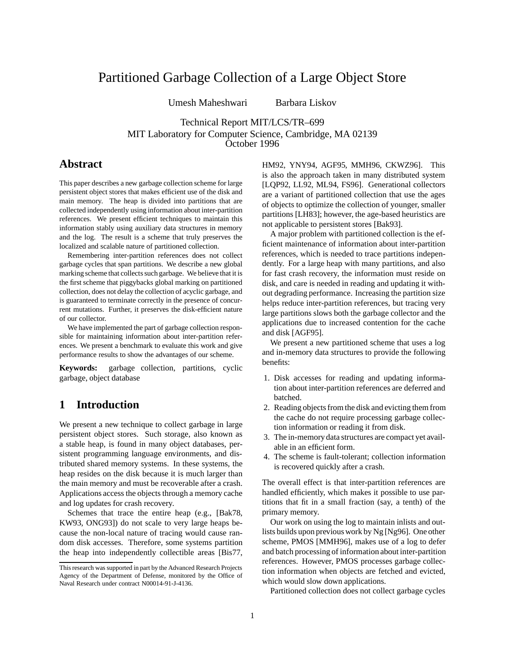# Partitioned Garbage Collection of a Large Object Store

Umesh Maheshwari Barbara Liskov

Technical Report MIT/LCS/TR–699 MIT Laboratory for Computer Science, Cambridge, MA 02139 October 1996

# **Abstract**

This paper describes a new garbage collection scheme for large persistent object stores that makes efficient use of the disk and main memory. The heap is divided into partitions that are collected independently using information about inter-partition references. We present efficient techniques to maintain this information stably using auxiliary data structures in memory and the log. The result is a scheme that truly preserves the localized and scalable nature of partitioned collection.

Remembering inter-partition references does not collect garbage cycles that span partitions. We describe a new global marking scheme that collects such garbage. We believe that it is the first scheme that piggybacks global marking on partitioned collection, does not delay the collection of acyclic garbage, and is guaranteed to terminate correctly in the presence of concurrent mutations. Further, it preserves the disk-efficient nature of our collector.

We have implemented the part of garbage collection responsible for maintaining information about inter-partition references. We present a benchmark to evaluate this work and give performance results to show the advantages of our scheme.

**Keywords:** garbage collection, partitions, cyclic garbage, object database

# **1 Introduction**

We present a new technique to collect garbage in large persistent object stores. Such storage, also known as a stable heap, is found in many object databases, persistent programming language environments, and distributed shared memory systems. In these systems, the heap resides on the disk because it is much larger than the main memory and must be recoverable after a crash. Applications access the objects through a memory cache and log updates for crash recovery.

Schemes that trace the entire heap (e.g., [Bak78, KW93, ONG93]) do not scale to very large heaps because the non-local nature of tracing would cause random disk accesses. Therefore, some systems partition the heap into independently collectible areas [Bis77,

HM92, YNY94, AGF95, MMH96, CKWZ96]. This is also the approach taken in many distributed system [LQP92, LL92, ML94, FS96]. Generational collectors are a variant of partitioned collection that use the ages of objects to optimize the collection of younger, smaller partitions [LH83]; however, the age-based heuristics are not applicable to persistent stores [Bak93].

A major problem with partitioned collection is the efficient maintenance of information about inter-partition references, which is needed to trace partitions independently. For a large heap with many partitions, and also for fast crash recovery, the information must reside on disk, and care is needed in reading and updating it without degrading performance. Increasing the partition size helps reduce inter-partition references, but tracing very large partitions slows both the garbage collector and the applications due to increased contention for the cache and disk [AGF95].

We present a new partitioned scheme that uses a log and in-memory data structures to provide the following benefits:

- 1. Disk accesses for reading and updating information about inter-partition references are deferred and batched.
- 2. Reading objects from the disk and evicting them from the cache do not require processing garbage collection information or reading it from disk.
- 3. The in-memory data structures are compact yet available in an efficient form.
- 4. The scheme is fault-tolerant; collection information is recovered quickly after a crash.

The overall effect is that inter-partition references are handled efficiently, which makes it possible to use partitions that fit in a small fraction (say, a tenth) of the primary memory.

Our work on using the log to maintain inlists and outlists builds upon previous work by Ng [Ng96]. One other scheme, PMOS [MMH96], makes use of a log to defer and batch processing of information about inter-partition references. However, PMOS processes garbage collection information when objects are fetched and evicted, which would slow down applications.

Partitioned collection does not collect garbage cycles

This research was supported in part by the Advanced Research Projects Agency of the Department of Defense, monitored by the Office of Naval Research under contract N00014-91-J-4136.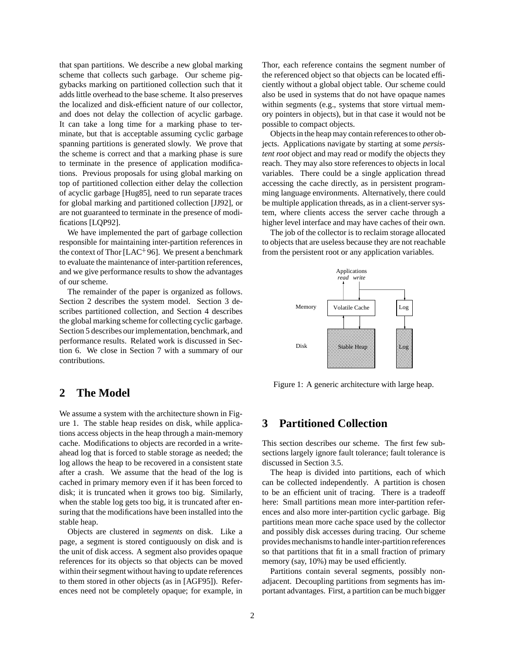that span partitions. We describe a new global marking scheme that collects such garbage. Our scheme piggybacks marking on partitioned collection such that it adds little overhead to the base scheme. It also preserves the localized and disk-efficient nature of our collector, and does not delay the collection of acyclic garbage. It can take a long time for a marking phase to terminate, but that is acceptable assuming cyclic garbage spanning partitions is generated slowly. We prove that the scheme is correct and that a marking phase is sure to terminate in the presence of application modifications. Previous proposals for using global marking on top of partitioned collection either delay the collection of acyclic garbage [Hug85], need to run separate traces for global marking and partitioned collection [JJ92], or are not guaranteed to terminate in the presence of modifications [LQP92].

We have implemented the part of garbage collection responsible for maintaining inter-partition references in the context of Thor [ $LAC^{+}96$ ]. We present a benchmark to evaluate the maintenance of inter-partition references, and we give performance results to show the advantages of our scheme.

The remainder of the paper is organized as follows. Section 2 describes the system model. Section 3 describes partitioned collection, and Section 4 describes the global marking scheme for collecting cyclic garbage. Section 5 describes our implementation, benchmark, and performance results. Related work is discussed in Section 6. We close in Section 7 with a summary of our contributions.

## **2 The Model**

We assume a system with the architecture shown in Figure 1. The stable heap resides on disk, while applications access objects in the heap through a main-memory cache. Modifications to objects are recorded in a writeahead log that is forced to stable storage as needed; the log allows the heap to be recovered in a consistent state after a crash. We assume that the head of the log is cached in primary memory even if it has been forced to disk; it is truncated when it grows too big. Similarly, when the stable log gets too big, it is truncated after ensuring that the modifications have been installed into the stable heap.

Objects are clustered in *segments* on disk. Like a page, a segment is stored contiguously on disk and is the unit of disk access. A segment also provides opaque references for its objects so that objects can be moved within their segment without having to update references to them stored in other objects (as in [AGF95]). References need not be completely opaque; for example, in

Thor, each reference contains the segment number of the referenced object so that objects can be located efficiently without a global object table. Our scheme could also be used in systems that do not have opaque names within segments (e.g., systems that store virtual memory pointers in objects), but in that case it would not be possible to compact objects.

Objects in the heap may contain references to other objects. Applications navigate by starting at some *persistent root* object and may read or modify the objects they reach. They may also store references to objects in local variables. There could be a single application thread accessing the cache directly, as in persistent programming language environments. Alternatively, there could be multiple application threads, as in a client-server system, where clients access the server cache through a higher level interface and may have caches of their own.

The job of the collector is to reclaim storage allocated to objects that are useless because they are not reachable from the persistent root or any application variables.



Figure 1: A generic architecture with large heap.

# **3 Partitioned Collection**

This section describes our scheme. The first few subsections largely ignore fault tolerance; fault tolerance is discussed in Section 3.5.

The heap is divided into partitions, each of which can be collected independently. A partition is chosen to be an efficient unit of tracing. There is a tradeoff here: Small partitions mean more inter-partition references and also more inter-partition cyclic garbage. Big partitions mean more cache space used by the collector and possibly disk accesses during tracing. Our scheme provides mechanisms to handle inter-partition references so that partitions that fit in a small fraction of primary memory (say, 10%) may be used efficiently.

Partitions contain several segments, possibly nonadjacent. Decoupling partitions from segments has important advantages. First, a partition can be much bigger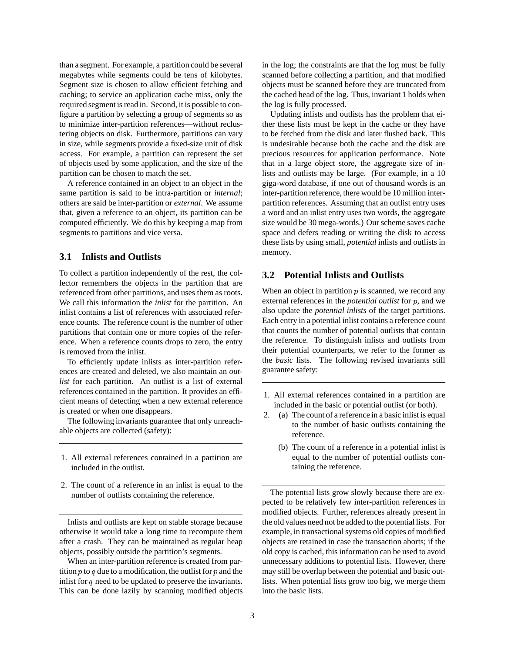than a segment. For example, a partition could be several megabytes while segments could be tens of kilobytes. Segment size is chosen to allow efficient fetching and caching; to service an application cache miss, only the required segment is read in. Second, it is possible to configure a partition by selecting a group of segments so as to minimize inter-partition references—without reclustering objects on disk. Furthermore, partitions can vary in size, while segments provide a fixed-size unit of disk access. For example, a partition can represent the set of objects used by some application, and the size of the partition can be chosen to match the set.

A reference contained in an object to an object in the same partition is said to be intra-partition or *internal*; others are said be inter-partition or *external*. We assume that, given a reference to an object, its partition can be computed efficiently. We do this by keeping a map from segments to partitions and vice versa.

#### **3.1 Inlists and Outlists**

To collect a partition independently of the rest, the collector remembers the objects in the partition that are referenced from other partitions, and uses them as roots. We call this information the *inlist* for the partition. An inlist contains a list of references with associated reference counts. The reference count is the number of other partitions that contain one or more copies of the reference. When a reference counts drops to zero, the entry is removed from the inlist.

To efficiently update inlists as inter-partition references are created and deleted, we also maintain an *outlist* for each partition. An outlist is a list of external references contained in the partition. It provides an efficient means of detecting when a new external reference is created or when one disappears.

The following invariants guarantee that only unreachable objects are collected (safety):

- 1. All external references contained in a partition are included in the outlist.
- 2. The count of a reference in an inlist is equal to the number of outlists containing the reference.

Inlists and outlists are kept on stable storage because otherwise it would take a long time to recompute them after a crash. They can be maintained as regular heap objects, possibly outside the partition's segments.

When an inter-partition reference is created from partition  $p$  to  $q$  due to a modification, the outlist for  $p$  and the inlist for  $q$  need to be updated to preserve the invariants. This can be done lazily by scanning modified objects in the log; the constraints are that the log must be fully scanned before collecting a partition, and that modified objects must be scanned before they are truncated from the cached head of the log. Thus, invariant 1 holds when the log is fully processed.

Updating inlists and outlists has the problem that either these lists must be kept in the cache or they have to be fetched from the disk and later flushed back. This is undesirable because both the cache and the disk are precious resources for application performance. Note that in a large object store, the aggregate size of inlists and outlists may be large. (For example, in a 10 giga-word database, if one out of thousand words is an inter-partition reference, there would be 10 million interpartition references. Assuming that an outlist entry uses a word and an inlist entry uses two words, the aggregate size would be 30 mega-words.) Our scheme saves cache space and defers reading or writing the disk to access these lists by using small, *potential* inlists and outlists in memory.

#### **3.2 Potential Inlists and Outlists**

When an object in partition  $p$  is scanned, we record any external references in the *potential outlist* for <sup>p</sup>, and we also update the *potential inlists* of the target partitions. Each entry in a potential inlist contains a reference count that counts the number of potential outlists that contain the reference. To distinguish inlists and outlists from their potential counterparts, we refer to the former as the *basic* lists. The following revised invariants still guarantee safety:

- 1. All external references contained in a partition are included in the basic or potential outlist (or both).
- 2. (a) The count of a reference in a basic inlist is equal to the number of basic outlists containing the reference.
	- (b) The count of a reference in a potential inlist is equal to the number of potential outlists containing the reference.

The potential lists grow slowly because there are expected to be relatively few inter-partition references in modified objects. Further, references already present in the old values need not be added to the potential lists. For example, in transactional systems old copies of modified objects are retained in case the transaction aborts; if the old copy is cached, this information can be used to avoid unnecessary additions to potential lists. However, there may still be overlap between the potential and basic outlists. When potential lists grow too big, we merge them into the basic lists.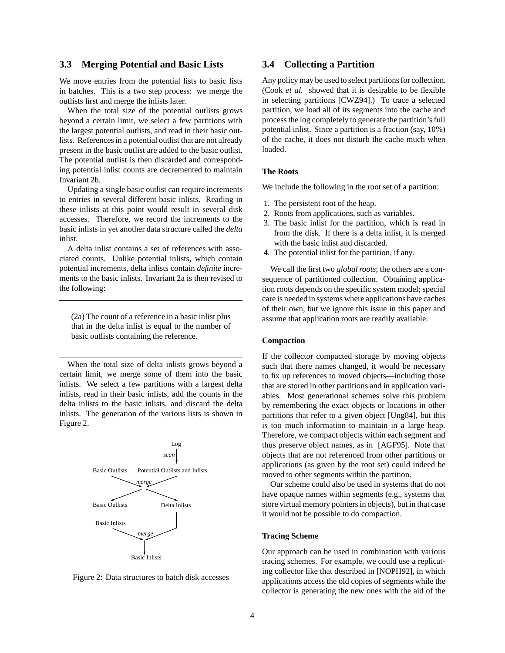### **3.3 Merging Potential and Basic Lists**

We move entries from the potential lists to basic lists in batches. This is a two step process: we merge the outlists first and merge the inlists later.

When the total size of the potential outlists grows beyond a certain limit, we select a few partitions with the largest potential outlists, and read in their basic outlists. References in a potential outlist that are not already present in the basic outlist are added to the basic outlist. The potential outlist is then discarded and corresponding potential inlist counts are decremented to maintain Invariant 2b.

Updating a single basic outlist can require increments to entries in several different basic inlists. Reading in these inlists at this point would result in several disk accesses. Therefore, we record the increments to the basic inlists in yet another data structure called the *delta* inlist.

A delta inlist contains a set of references with associated counts. Unlike potential inlists, which contain potential increments, delta inlists contain *definite* increments to the basic inlists. Invariant 2a is then revised to the following:

(2a) The count of a reference in a basic inlist plus that in the delta inlist is equal to the number of basic outlists containing the reference.

When the total size of delta inlists grows beyond a certain limit, we merge some of them into the basic inlists. We select a few partitions with a largest delta inlists, read in their basic inlists, add the counts in the delta inlists to the basic inlists, and discard the delta inlists. The generation of the various lists is shown in Figure 2.





## **3.4 Collecting a Partition**

Any policy may be used to select partitions for collection. (Cook *et al.* showed that it is desirable to be flexible in selecting partitions [CWZ94].) To trace a selected partition, we load all of its segments into the cache and process the log completely to generate the partition's full potential inlist. Since a partition is a fraction (say, 10%) of the cache, it does not disturb the cache much when loaded.

#### **The Roots**

We include the following in the root set of a partition:

- 1. The persistent root of the heap.
- 2. Roots from applications, such as variables.
- 3. The basic inlist for the partition, which is read in from the disk. If there is a delta inlist, it is merged with the basic inlist and discarded.
- 4. The potential inlist for the partition, if any.

We call the first two *global roots*; the others are a consequence of partitioned collection. Obtaining application roots depends on the specific system model; special care is needed in systems where applications have caches of their own, but we ignore this issue in this paper and assume that application roots are readily available.

#### **Compaction**

If the collector compacted storage by moving objects such that there names changed, it would be necessary to fix up references to moved objects—including those that are stored in other partitions and in application variables. Most generational schemes solve this problem by remembering the exact objects or locations in other partitions that refer to a given object [Ung84], but this is too much information to maintain in a large heap. Therefore, we compact objects within each segment and thus preserve object names, as in [AGF95]. Note that objects that are not referenced from other partitions or applications (as given by the root set) could indeed be moved to other segments within the partition.

Our scheme could also be used in systems that do not have opaque names within segments (e.g., systems that store virtual memory pointers in objects), but in that case it would not be possible to do compaction.

#### **Tracing Scheme**

Our approach can be used in combination with various tracing schemes. For example, we could use a replicating collector like that described in [NOPH92], in which applications access the old copies of segments while the collector is generating the new ones with the aid of the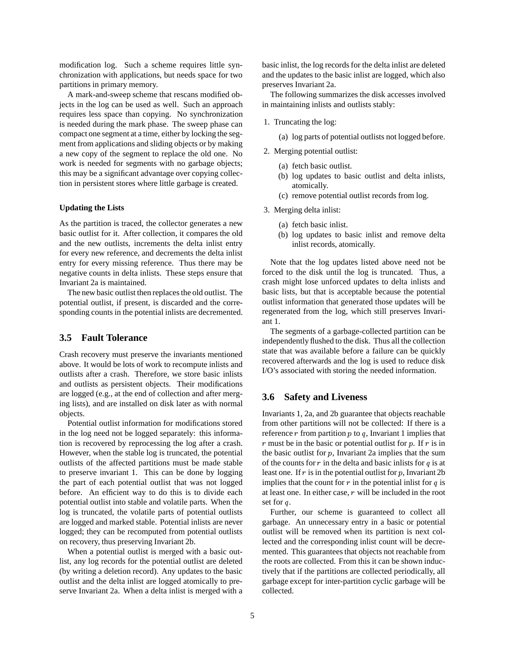modification log. Such a scheme requires little synchronization with applications, but needs space for two partitions in primary memory.

A mark-and-sweep scheme that rescans modified objects in the log can be used as well. Such an approach requires less space than copying. No synchronization is needed during the mark phase. The sweep phase can compact one segment at a time, either by locking the segment from applications and sliding objects or by making a new copy of the segment to replace the old one. No work is needed for segments with no garbage objects; this may be a significant advantage over copying collection in persistent stores where little garbage is created.

#### **Updating the Lists**

As the partition is traced, the collector generates a new basic outlist for it. After collection, it compares the old and the new outlists, increments the delta inlist entry for every new reference, and decrements the delta inlist entry for every missing reference. Thus there may be negative counts in delta inlists. These steps ensure that Invariant 2a is maintained.

The new basic outlist then replaces the old outlist. The potential outlist, if present, is discarded and the corresponding counts in the potential inlists are decremented.

#### **3.5 Fault Tolerance**

Crash recovery must preserve the invariants mentioned above. It would be lots of work to recompute inlists and outlists after a crash. Therefore, we store basic inlists and outlists as persistent objects. Their modifications are logged (e.g., at the end of collection and after merging lists), and are installed on disk later as with normal objects.

Potential outlist information for modifications stored in the log need not be logged separately: this information is recovered by reprocessing the log after a crash. However, when the stable log is truncated, the potential outlists of the affected partitions must be made stable to preserve invariant 1. This can be done by logging the part of each potential outlist that was not logged before. An efficient way to do this is to divide each potential outlist into stable and volatile parts. When the log is truncated, the volatile parts of potential outlists are logged and marked stable. Potential inlists are never logged; they can be recomputed from potential outlists on recovery, thus preserving Invariant 2b.

When a potential outlist is merged with a basic outlist, any log records for the potential outlist are deleted (by writing a deletion record). Any updates to the basic outlist and the delta inlist are logged atomically to preserve Invariant 2a. When a delta inlist is merged with a basic inlist, the log records for the delta inlist are deleted and the updates to the basic inlist are logged, which also preserves Invariant 2a.

The following summarizes the disk accesses involved in maintaining inlists and outlists stably:

1. Truncating the log:

(a) log parts of potential outlists not logged before.

- 2. Merging potential outlist:
	- (a) fetch basic outlist.
	- (b) log updates to basic outlist and delta inlists, atomically.
	- (c) remove potential outlist records from log.
- 3. Merging delta inlist:
	- (a) fetch basic inlist.
	- (b) log updates to basic inlist and remove delta inlist records, atomically.

Note that the log updates listed above need not be forced to the disk until the log is truncated. Thus, a crash might lose unforced updates to delta inlists and basic lists, but that is acceptable because the potential outlist information that generated those updates will be regenerated from the log, which still preserves Invariant 1.

The segments of a garbage-collected partition can be independently flushed to the disk. Thus all the collection state that was available before a failure can be quickly recovered afterwards and the log is used to reduce disk I/O's associated with storing the needed information.

### **3.6 Safety and Liveness**

Invariants 1, 2a, and 2b guarantee that objects reachable from other partitions will not be collected: If there is a reference  $r$  from partition  $p$  to  $q$ , Invariant 1 implies that  $r$  must be in the basic or potential outlist for  $p$ . If  $r$  is in the basic outlist for  $p$ , Invariant 2a implies that the sum of the counts for  $r$  in the delta and basic inlists for  $q$  is at least one. If  $r$  is in the potential outlist for  $p$ , Invariant 2b implies that the count for  $r$  in the potential inlist for  $q$  is at least one. In either case, <sup>r</sup> will be included in the root set for <sup>q</sup>.

Further, our scheme is guaranteed to collect all garbage. An unnecessary entry in a basic or potential outlist will be removed when its partition is next collected and the corresponding inlist count will be decremented. This guarantees that objects not reachable from the roots are collected. From this it can be shown inductively that if the partitions are collected periodically, all garbage except for inter-partition cyclic garbage will be collected.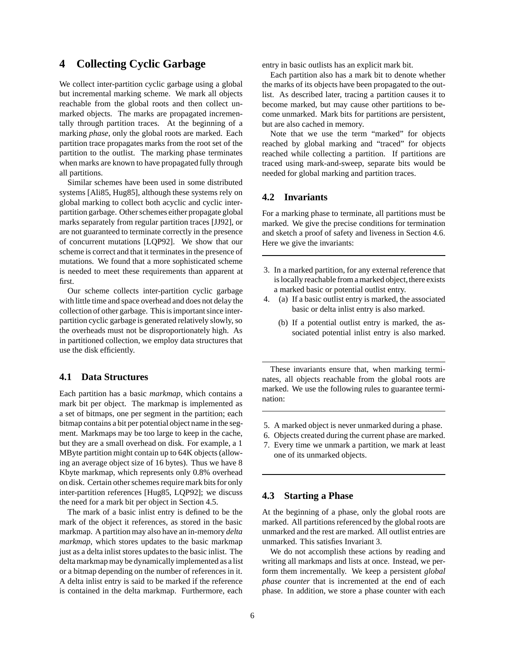# **4 Collecting Cyclic Garbage**

We collect inter-partition cyclic garbage using a global but incremental marking scheme. We mark all objects reachable from the global roots and then collect unmarked objects. The marks are propagated incrementally through partition traces. At the beginning of a marking *phase*, only the global roots are marked. Each partition trace propagates marks from the root set of the partition to the outlist. The marking phase terminates when marks are known to have propagated fully through all partitions.

Similar schemes have been used in some distributed systems [Ali85, Hug85], although these systems rely on global marking to collect both acyclic and cyclic interpartition garbage. Other schemes either propagate global marks separately from regular partition traces [JJ92], or are not guaranteed to terminate correctly in the presence of concurrent mutations [LQP92]. We show that our scheme is correct and that it terminates in the presence of mutations. We found that a more sophisticated scheme is needed to meet these requirements than apparent at first.

Our scheme collects inter-partition cyclic garbage with little time and space overhead and does not delay the collection of other garbage. This is important since interpartition cyclic garbage is generated relatively slowly, so the overheads must not be disproportionately high. As in partitioned collection, we employ data structures that use the disk efficiently.

## **4.1 Data Structures**

Each partition has a basic *markmap*, which contains a mark bit per object. The markmap is implemented as a set of bitmaps, one per segment in the partition; each bitmap contains a bit per potential object name in the segment. Markmaps may be too large to keep in the cache, but they are a small overhead on disk. For example, a 1 MByte partition might contain up to 64K objects (allowing an average object size of 16 bytes). Thus we have 8 Kbyte markmap, which represents only 0.8% overhead on disk. Certain other schemes require mark bits for only inter-partition references [Hug85, LQP92]; we discuss the need for a mark bit per object in Section 4.5.

The mark of a basic inlist entry is defined to be the mark of the object it references, as stored in the basic markmap. A partition may also have an in-memory *delta markmap*, which stores updates to the basic markmap just as a delta inlist stores updates to the basic inlist. The delta markmap may be dynamically implemented as a list or a bitmap depending on the number of references in it. A delta inlist entry is said to be marked if the reference is contained in the delta markmap. Furthermore, each

entry in basic outlists has an explicit mark bit.

Each partition also has a mark bit to denote whether the marks of its objects have been propagated to the outlist. As described later, tracing a partition causes it to become marked, but may cause other partitions to become unmarked. Mark bits for partitions are persistent, but are also cached in memory.

Note that we use the term "marked" for objects reached by global marking and "traced" for objects reached while collecting a partition. If partitions are traced using mark-and-sweep, separate bits would be needed for global marking and partition traces.

### **4.2 Invariants**

For a marking phase to terminate, all partitions must be marked. We give the precise conditions for termination and sketch a proof of safety and liveness in Section 4.6. Here we give the invariants:

- 3. In a marked partition, for any external reference that is locally reachable from a marked object, there exists a marked basic or potential outlist entry.
- 4. (a) If a basic outlist entry is marked, the associated basic or delta inlist entry is also marked.
	- (b) If a potential outlist entry is marked, the associated potential inlist entry is also marked.

These invariants ensure that, when marking terminates, all objects reachable from the global roots are marked. We use the following rules to guarantee termination:

- 5. A marked object is never unmarked during a phase.
- 6. Objects created during the current phase are marked.
- 7. Every time we unmark a partition, we mark at least one of its unmarked objects.

#### **4.3 Starting a Phase**

At the beginning of a phase, only the global roots are marked. All partitions referenced by the global roots are unmarked and the rest are marked. All outlist entries are unmarked. This satisfies Invariant 3.

We do not accomplish these actions by reading and writing all markmaps and lists at once. Instead, we perform them incrementally. We keep a persistent *global phase counter* that is incremented at the end of each phase. In addition, we store a phase counter with each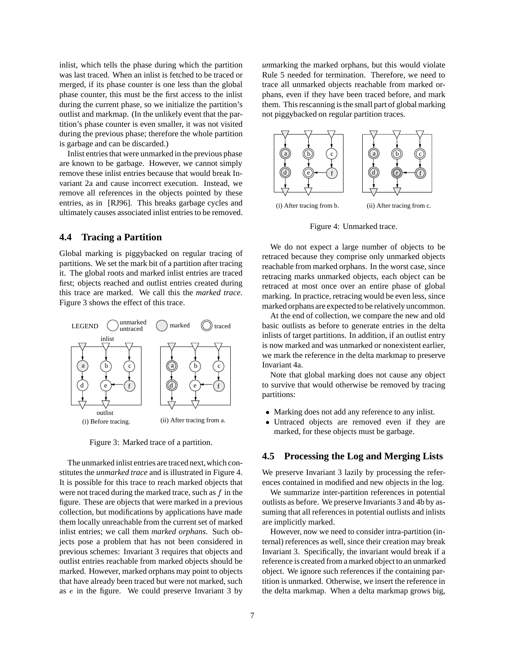inlist, which tells the phase during which the partition was last traced. When an inlist is fetched to be traced or merged, if its phase counter is one less than the global phase counter, this must be the first access to the inlist during the current phase, so we initialize the partition's outlist and markmap. (In the unlikely event that the partition's phase counter is even smaller, it was not visited during the previous phase; therefore the whole partition is garbage and can be discarded.)

Inlist entries that were unmarked in the previous phase are known to be garbage. However, we cannot simply remove these inlist entries because that would break Invariant 2a and cause incorrect execution. Instead, we remove all references in the objects pointed by these entries, as in [RJ96]. This breaks garbage cycles and ultimately causes associated inlist entries to be removed.

### **4.4 Tracing a Partition**

Global marking is piggybacked on regular tracing of partitions. We set the mark bit of a partition after tracing it. The global roots and marked inlist entries are traced first; objects reached and outlist entries created during this trace are marked. We call this the *marked trace*. Figure 3 shows the effect of this trace.



Figure 3: Marked trace of a partition.

The unmarked inlist entries are traced next,which constitutes the *unmarked trace* and is illustrated in Figure 4. It is possible for this trace to reach marked objects that were not traced during the marked trace, such as  $f$  in the figure. These are objects that were marked in a previous collection, but modifications by applications have made them locally unreachable from the current set of marked inlist entries; we call them *marked orphans*. Such objects pose a problem that has not been considered in previous schemes: Invariant 3 requires that objects and outlist entries reachable from marked objects should be marked. However, marked orphans may point to objects that have already been traced but were not marked, such as <sup>e</sup> in the figure. We could preserve Invariant 3 by

*un*marking the marked orphans, but this would violate Rule 5 needed for termination. Therefore, we need to trace all unmarked objects reachable from marked orphans, even if they have been traced before, and mark them. This rescanning is the small part of global marking not piggybacked on regular partition traces.



Figure 4: Unmarked trace.

We do not expect a large number of objects to be retraced because they comprise only unmarked objects reachable from marked orphans. In the worst case, since retracing marks unmarked objects, each object can be retraced at most once over an entire phase of global marking. In practice, retracing would be even less, since marked orphans are expected to be relatively uncommon.

At the end of collection, we compare the new and old basic outlists as before to generate entries in the delta inlists of target partitions. In addition, if an outlist entry is now marked and was unmarked or nonexistent earlier, we mark the reference in the delta markmap to preserve Invariant 4a.

Note that global marking does not cause any object to survive that would otherwise be removed by tracing partitions:

- Marking does not add any reference to any inlist.
- Untraced objects are removed even if they are marked, for these objects must be garbage.

## **4.5 Processing the Log and Merging Lists**

We preserve Invariant 3 lazily by processing the references contained in modified and new objects in the log.

We summarize inter-partition references in potential outlists as before. We preserve Invariants 3 and 4b by assuming that all references in potential outlists and inlists are implicitly marked.

However, now we need to consider intra-partition (internal) references as well, since their creation may break Invariant 3. Specifically, the invariant would break if a reference is created from a marked object to an unmarked object. We ignore such references if the containing partition is unmarked. Otherwise, we insert the reference in the delta markmap. When a delta markmap grows big,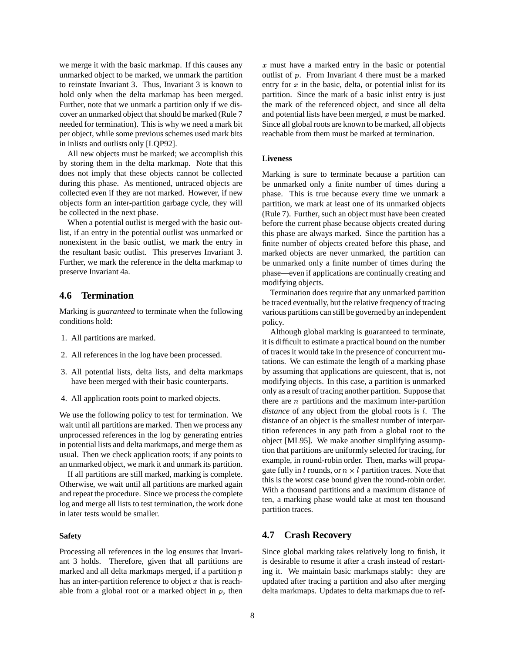we merge it with the basic markmap. If this causes any unmarked object to be marked, we unmark the partition to reinstate Invariant 3. Thus, Invariant 3 is known to hold only when the delta markmap has been merged. Further, note that we unmark a partition only if we discover an unmarked object that should be marked (Rule 7 needed for termination). This is why we need a mark bit per object, while some previous schemes used mark bits in inlists and outlists only [LQP92].

All new objects must be marked; we accomplish this by storing them in the delta markmap. Note that this does not imply that these objects cannot be collected during this phase. As mentioned, untraced objects are collected even if they are not marked. However, if new objects form an inter-partition garbage cycle, they will be collected in the next phase.

When a potential outlist is merged with the basic outlist, if an entry in the potential outlist was unmarked or nonexistent in the basic outlist, we mark the entry in the resultant basic outlist. This preserves Invariant 3. Further, we mark the reference in the delta markmap to preserve Invariant 4a.

#### **4.6 Termination**

Marking is *guaranteed* to terminate when the following conditions hold:

- 1. All partitions are marked.
- 2. All references in the log have been processed.
- 3. All potential lists, delta lists, and delta markmaps have been merged with their basic counterparts.
- 4. All application roots point to marked objects.

We use the following policy to test for termination. We wait until all partitions are marked. Then we process any unprocessed references in the log by generating entries in potential lists and delta markmaps, and merge them as usual. Then we check application roots; if any points to an unmarked object, we mark it and unmark its partition.

If all partitions are still marked, marking is complete. Otherwise, we wait until all partitions are marked again and repeat the procedure. Since we process the complete log and merge all lists to test termination, the work done in later tests would be smaller.

#### **Safety**

Processing all references in the log ensures that Invariant 3 holds. Therefore, given that all partitions are marked and all delta markmaps merged, if a partition <sup>p</sup> has an inter-partition reference to object  $x$  that is reachable from a global root or a marked object in  $p$ , then <sup>x</sup> must have a marked entry in the basic or potential outlist of  $p$ . From Invariant 4 there must be a marked entry for  $x$  in the basic, delta, or potential inlist for its partition. Since the mark of a basic inlist entry is just the mark of the referenced object, and since all delta and potential lists have been merged,  $x$  must be marked. Since all global roots are known to be marked, all objects reachable from them must be marked at termination.

#### **Liveness**

Marking is sure to terminate because a partition can be unmarked only a finite number of times during a phase. This is true because every time we unmark a partition, we mark at least one of its unmarked objects (Rule 7). Further, such an object must have been created before the current phase because objects created during this phase are always marked. Since the partition has a finite number of objects created before this phase, and marked objects are never unmarked, the partition can be unmarked only a finite number of times during the phase—even if applications are continually creating and modifying objects.

Termination does require that any unmarked partition be traced eventually, but the relative frequency of tracing various partitions can still be governed by an independent policy.

Although global marking is guaranteed to terminate, it is difficult to estimate a practical bound on the number of traces it would take in the presence of concurrent mutations. We can estimate the length of a marking phase by assuming that applications are quiescent, that is, not modifying objects. In this case, a partition is unmarked only as a result of tracing another partition. Suppose that there are  $n$  partitions and the maximum inter-partition *distance* of any object from the global roots is <sup>l</sup>. The distance of an object is the smallest number of interpartition references in any path from a global root to the object [ML95]. We make another simplifying assumption that partitions are uniformly selected for tracing, for example, in round-robin order. Then, marks will propagate fully in *l* rounds, or  $n \times l$  partition traces. Note that this is the worst case bound given the round-robin order. With a thousand partitions and a maximum distance of ten, a marking phase would take at most ten thousand partition traces.

#### **4.7 Crash Recovery**

Since global marking takes relatively long to finish, it is desirable to resume it after a crash instead of restarting it. We maintain basic markmaps stably: they are updated after tracing a partition and also after merging delta markmaps. Updates to delta markmaps due to ref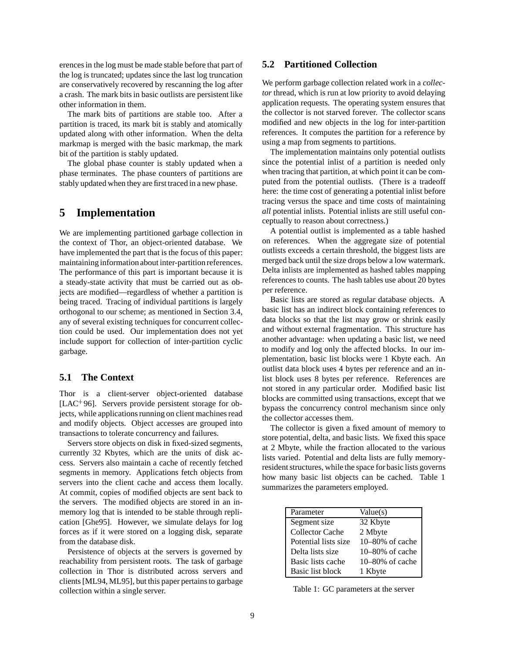erences in the log must be made stable before that part of the log is truncated; updates since the last log truncation are conservatively recovered by rescanning the log after a crash. The mark bits in basic outlists are persistent like other information in them.

The mark bits of partitions are stable too. After a partition is traced, its mark bit is stably and atomically updated along with other information. When the delta markmap is merged with the basic markmap, the mark bit of the partition is stably updated.

The global phase counter is stably updated when a phase terminates. The phase counters of partitions are stably updated when they are first traced in a new phase.

# **5 Implementation**

We are implementing partitioned garbage collection in the context of Thor, an object-oriented database. We have implemented the part that is the focus of this paper: maintaining information about inter-partition references. The performance of this part is important because it is a steady-state activity that must be carried out as objects are modified—regardless of whether a partition is being traced. Tracing of individual partitions is largely orthogonal to our scheme; as mentioned in Section 3.4, any of several existing techniques for concurrent collection could be used. Our implementation does not yet include support for collection of inter-partition cyclic garbage.

## **5.1 The Context**

Thor is a client-server object-oriented database [LAC<sup>+</sup> 96]. Servers provide persistent storage for objects, while applications running on client machines read and modify objects. Object accesses are grouped into transactions to tolerate concurrency and failures.

Servers store objects on disk in fixed-sized segments, currently 32 Kbytes, which are the units of disk access. Servers also maintain a cache of recently fetched segments in memory. Applications fetch objects from servers into the client cache and access them locally. At commit, copies of modified objects are sent back to the servers. The modified objects are stored in an inmemory log that is intended to be stable through replication [Ghe95]. However, we simulate delays for log forces as if it were stored on a logging disk, separate from the database disk.

Persistence of objects at the servers is governed by reachability from persistent roots. The task of garbage collection in Thor is distributed across servers and clients [ML94, ML95], but this paper pertains to garbage collection within a single server.

## **5.2 Partitioned Collection**

We perform garbage collection related work in a *collector* thread, which is run at low priority to avoid delaying application requests. The operating system ensures that the collector is not starved forever. The collector scans modified and new objects in the log for inter-partition references. It computes the partition for a reference by using a map from segments to partitions.

The implementation maintains only potential outlists since the potential inlist of a partition is needed only when tracing that partition, at which point it can be computed from the potential outlists. (There is a tradeoff here: the time cost of generating a potential inlist before tracing versus the space and time costs of maintaining *all* potential inlists. Potential inlists are still useful conceptually to reason about correctness.)

A potential outlist is implemented as a table hashed on references. When the aggregate size of potential outlists exceeds a certain threshold, the biggest lists are merged back until the size drops below a low watermark. Delta inlists are implemented as hashed tables mapping references to counts. The hash tables use about 20 bytes per reference.

Basic lists are stored as regular database objects. A basic list has an indirect block containing references to data blocks so that the list may grow or shrink easily and without external fragmentation. This structure has another advantage: when updating a basic list, we need to modify and log only the affected blocks. In our implementation, basic list blocks were 1 Kbyte each. An outlist data block uses 4 bytes per reference and an inlist block uses 8 bytes per reference. References are not stored in any particular order. Modified basic list blocks are committed using transactions, except that we bypass the concurrency control mechanism since only the collector accesses them.

The collector is given a fixed amount of memory to store potential, delta, and basic lists. We fixed this space at 2 Mbyte, while the fraction allocated to the various lists varied. Potential and delta lists are fully memoryresident structures, while the space for basic lists governs how many basic list objects can be cached. Table 1 summarizes the parameters employed.

| Parameter              | Value(s)        |
|------------------------|-----------------|
| Segment size           | 32 Kbyte        |
| <b>Collector Cache</b> | 2 Mbyte         |
| Potential lists size   | 10-80% of cache |
| Delta lists size       | 10-80% of cache |
| Basic lists cache      | 10-80% of cache |
| Basic list block       | 1 Kbyte         |

Table 1: GC parameters at the server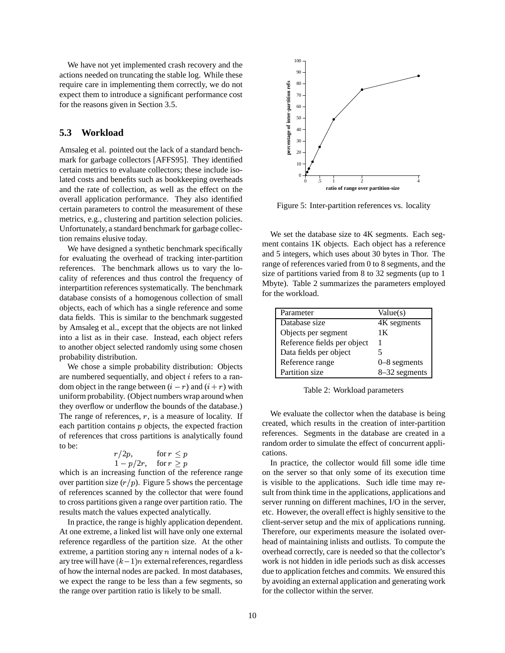We have not yet implemented crash recovery and the actions needed on truncating the stable log. While these require care in implementing them correctly, we do not expect them to introduce a significant performance cost for the reasons given in Section 3.5.

#### **5.3 Workload**

Amsaleg et al. pointed out the lack of a standard benchmark for garbage collectors [AFFS95]. They identified certain metrics to evaluate collectors; these include isolated costs and benefits such as bookkeeping overheads and the rate of collection, as well as the effect on the overall application performance. They also identified certain parameters to control the measurement of these metrics, e.g., clustering and partition selection policies. Unfortunately, a standard benchmark for garbage collection remains elusive today.

We have designed a synthetic benchmark specifically for evaluating the overhead of tracking inter-partition references. The benchmark allows us to vary the locality of references and thus control the frequency of interpartition references systematically. The benchmark database consists of a homogenous collection of small objects, each of which has a single reference and some data fields. This is similar to the benchmark suggested by Amsaleg et al., except that the objects are not linked into a list as in their case. Instead, each object refers to another object selected randomly using some chosen probability distribution.

We chose a simple probability distribution: Objects are numbered sequentially, and object <sup>i</sup> refers to a random object in the range between  $(i - r)$  and  $(i + r)$  with uniform probability. (Object numbers wrap around when they overflow or underflow the bounds of the database.) The range of references,  $r$ , is a measure of locality. If each partition contains  $p$  objects, the expected fraction of references that cross partitions is analytically found to be:

$$
r/2p, \qquad \text{for } r \le p
$$
  
 
$$
1 - p/2r, \quad \text{for } r \ge p
$$

which is an increasing function of the reference range over partition size  $(r/p)$ . Figure 5 shows the percentage of references scanned by the collector that were found to cross partitions given a range over partition ratio. The results match the values expected analytically.

In practice, the range is highly application dependent. At one extreme, a linked list will have only one external reference regardless of the partition size. At the other extreme, a partition storing any  $n$  internal nodes of a kary tree will have  $(k-1)n$  external references, regardless of how the internal nodes are packed. In most databases, we expect the range to be less than a few segments, so the range over partition ratio is likely to be small.



Figure 5: Inter-partition references vs. locality

We set the database size to 4K segments. Each segment contains 1K objects. Each object has a reference and 5 integers, which uses about 30 bytes in Thor. The range of references varied from 0 to 8 segments, and the size of partitions varied from 8 to 32 segments (up to 1 Mbyte). Table 2 summarizes the parameters employed for the workload.

| Parameter                   | Value(s)       |
|-----------------------------|----------------|
| Database size               | 4K segments    |
| Objects per segment         | 1Κ             |
| Reference fields per object |                |
| Data fields per object      |                |
| Reference range             | $0-8$ segments |
| Partition size              | 8-32 segments  |

Table 2: Workload parameters

We evaluate the collector when the database is being created, which results in the creation of inter-partition references. Segments in the database are created in a random order to simulate the effect of concurrent applications.

In practice, the collector would fill some idle time on the server so that only some of its execution time is visible to the applications. Such idle time may result from think time in the applications, applications and server running on different machines, I/O in the server, etc. However, the overall effect is highly sensitive to the client-server setup and the mix of applications running. Therefore, our experiments measure the isolated overhead of maintaining inlists and outlists. To compute the overhead correctly, care is needed so that the collector's work is not hidden in idle periods such as disk accesses due to application fetches and commits. We ensured this by avoiding an external application and generating work for the collector within the server.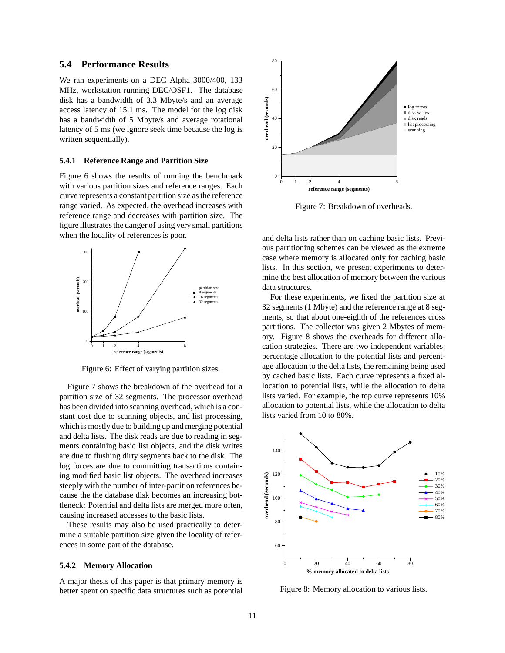#### **5.4 Performance Results**

We ran experiments on a DEC Alpha 3000/400, 133 MHz, workstation running DEC/OSF1. The database disk has a bandwidth of 3.3 Mbyte/s and an average access latency of 15.1 ms. The model for the log disk has a bandwidth of 5 Mbyte/s and average rotational latency of 5 ms (we ignore seek time because the log is written sequentially).

#### **5.4.1 Reference Range and Partition Size**

Figure 6 shows the results of running the benchmark with various partition sizes and reference ranges. Each curve represents a constant partition size as the reference range varied. As expected, the overhead increases with reference range and decreases with partition size. The figure illustrates the danger of using very small partitions when the locality of references is poor.



Figure 6: Effect of varying partition sizes.

Figure 7 shows the breakdown of the overhead for a partition size of 32 segments. The processor overhead has been divided into scanning overhead, which is a constant cost due to scanning objects, and list processing, which is mostly due to building up and merging potential and delta lists. The disk reads are due to reading in segments containing basic list objects, and the disk writes are due to flushing dirty segments back to the disk. The log forces are due to committing transactions containing modified basic list objects. The overhead increases steeply with the number of inter-partition references because the the database disk becomes an increasing bottleneck: Potential and delta lists are merged more often, causing increased accesses to the basic lists.

These results may also be used practically to determine a suitable partition size given the locality of references in some part of the database.

#### **5.4.2 Memory Allocation**

A major thesis of this paper is that primary memory is better spent on specific data structures such as potential



Figure 7: Breakdown of overheads.

and delta lists rather than on caching basic lists. Previous partitioning schemes can be viewed as the extreme case where memory is allocated only for caching basic lists. In this section, we present experiments to determine the best allocation of memory between the various data structures.

For these experiments, we fixed the partition size at 32 segments (1 Mbyte) and the reference range at 8 segments, so that about one-eighth of the references cross partitions. The collector was given 2 Mbytes of memory. Figure 8 shows the overheads for different allocation strategies. There are two independent variables: percentage allocation to the potential lists and percentage allocation to the delta lists, the remaining being used by cached basic lists. Each curve represents a fixed allocation to potential lists, while the allocation to delta lists varied. For example, the top curve represents 10% allocation to potential lists, while the allocation to delta lists varied from 10 to 80%.



Figure 8: Memory allocation to various lists.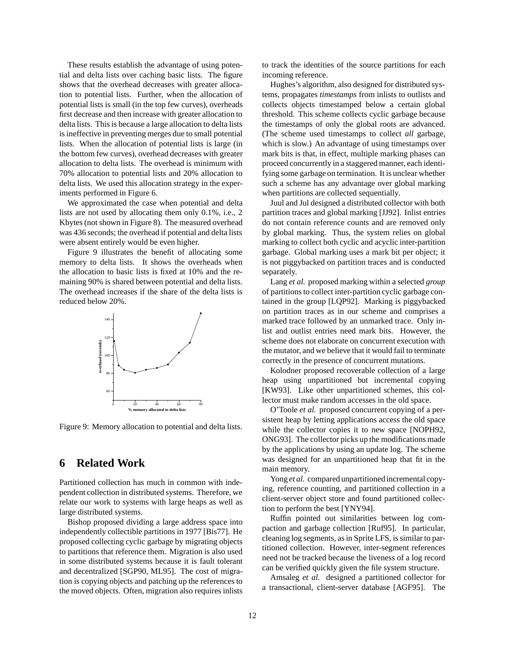These results establish the advantage of using potential and delta lists over caching basic lists. The figure shows that the overhead decreases with greater allocation to potential lists. Further, when the allocation of potential lists is small (in the top few curves), overheads first decrease and then increase with greater allocation to delta lists. This is because a large allocation to delta lists is ineffective in preventing merges due to small potential lists. When the allocation of potential lists is large (in the bottom few curves), overhead decreases with greater allocation to delta lists. The overhead is minimum with 70% allocation to potential lists and 20% allocation to delta lists. We used this allocation strategy in the experiments performed in Figure 6.

We approximated the case when potential and delta lists are not used by allocating them only 0.1%, i.e., 2 Kbytes (not shown in Figure 8). The measured overhead was 436 seconds; the overhead if potential and delta lists were absent entirely would be even higher.

Figure 9 illustrates the benefit of allocating some memory to delta lists. It shows the overheads when the allocation to basic lists is fixed at 10% and the remaining 90% is shared between potential and delta lists. The overhead increases if the share of the delta lists is reduced below 20%.



Figure 9: Memory allocation to potential and delta lists.

# **6 Related Work**

Partitioned collection has much in common with independent collection in distributed systems. Therefore, we relate our work to systems with large heaps as well as large distributed systems.

Bishop proposed dividing a large address space into independently collectible partitions in 1977 [Bis77]. He proposed collecting cyclic garbage by migrating objects to partitions that reference them. Migration is also used in some distributed systems because it is fault tolerant and decentralized [SGP90, ML95]. The cost of migration is copying objects and patching up the references to the moved objects. Often, migration also requires inlists to track the identities of the source partitions for each incoming reference.

Hughes's algorithm, also designed for distributed systems, propagates *timestamps* from inlists to outlists and collects objects timestamped below a certain global threshold. This scheme collects cyclic garbage because the timestamps of only the global roots are advanced. (The scheme used timestamps to collect *all* garbage, which is slow.) An advantage of using timestamps over mark bits is that, in effect, multiple marking phases can proceed concurrently in a staggered manner, each identifying some garbage on termination. It is unclear whether such a scheme has any advantage over global marking when partitions are collected sequentially.

Juul and Jul designed a distributed collector with both partition traces and global marking [JJ92]. Inlist entries do not contain reference counts and are removed only by global marking. Thus, the system relies on global marking to collect both cyclic and acyclic inter-partition garbage. Global marking uses a mark bit per object; it is not piggybacked on partition traces and is conducted separately.

Lang *et al.* proposed marking within a selected *group* of partitions to collect inter-partition cyclic garbage contained in the group [LQP92]. Marking is piggybacked on partition traces as in our scheme and comprises a marked trace followed by an unmarked trace. Only inlist and outlist entries need mark bits. However, the scheme does not elaborate on concurrent execution with the mutator, and we believe that it would fail to terminate correctly in the presence of concurrent mutations.

Kolodner proposed recoverable collection of a large heap using unpartitioned but incremental copying [KW93]. Like other unpartitioned schemes, this collector must make random accesses in the old space.

O'Toole *et al.* proposed concurrent copying of a persistent heap by letting applications access the old space while the collector copies it to new space [NOPH92, ONG93]. The collector picks up the modifications made by the applications by using an update log. The scheme was designed for an unpartitioned heap that fit in the main memory.

Yong *et al.* compared unpartitioned incremental copying, reference counting, and partitioned collection in a client-server object store and found partitioned collection to perform the best [YNY94].

Ruffin pointed out similarities between log compaction and garbage collection [Ruf95]. In particular, cleaning log segments, as in Sprite LFS, is similar to partitioned collection. However, inter-segment references need not be tracked because the liveness of a log record can be verified quickly given the file system structure.

Amsaleg *et al.* designed a partitioned collector for a transactional, client-server database [AGF95]. The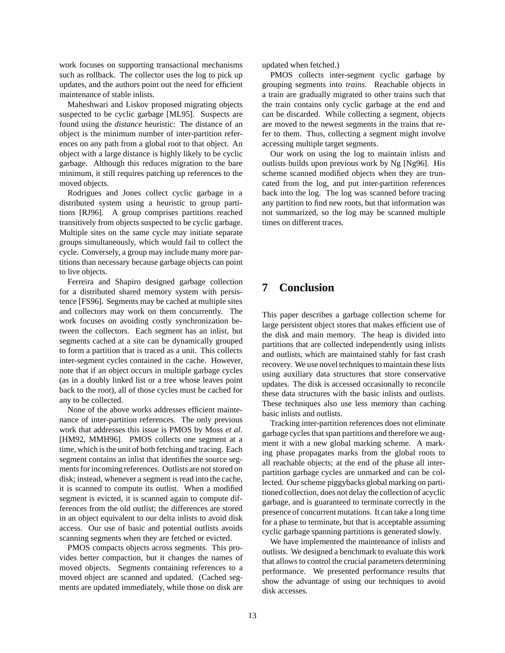work focuses on supporting transactional mechanisms such as rollback. The collector uses the log to pick up updates, and the authors point out the need for efficient maintenance of stable inlists.

Maheshwari and Liskov proposed migrating objects suspected to be cyclic garbage [ML95]. Suspects are found using the *distance* heuristic: The distance of an object is the minimum number of inter-partition references on any path from a global root to that object. An object with a large distance is highly likely to be cyclic garbage. Although this reduces migration to the bare minimum, it still requires patching up references to the moved objects.

Rodrigues and Jones collect cyclic garbage in a distributed system using a heuristic to group partitions [RJ96]. A group comprises partitions reached transitively from objects suspected to be cyclic garbage. Multiple sites on the same cycle may initiate separate groups simultaneously, which would fail to collect the cycle. Conversely, a group may include many more partitions than necessary because garbage objects can point to live objects.

Ferreira and Shapiro designed garbage collection for a distributed shared memory system with persistence [FS96]. Segments may be cached at multiple sites and collectors may work on them concurrently. The work focuses on avoiding costly synchronization between the collectors. Each segment has an inlist, but segments cached at a site can be dynamically grouped to form a partition that is traced as a unit. This collects inter-segment cycles contained in the cache. However, note that if an object occurs in multiple garbage cycles (as in a doubly linked list or a tree whose leaves point back to the root), all of those cycles must be cached for any to be collected.

None of the above works addresses efficient maintenance of inter-partition references. The only previous work that addresses this issue is PMOS by Moss *et al.* [HM92, MMH96]. PMOS collects one segment at a time, which is the unit of both fetching and tracing. Each segment contains an inlist that identifies the source segments for incoming references. Outlists are not stored on disk; instead, whenever a segment is read into the cache, it is scanned to compute its outlist. When a modified segment is evicted, it is scanned again to compute differences from the old outlist; the differences are stored in an object equivalent to our delta inlists to avoid disk access. Our use of basic and potential outlists avoids scanning segments when they are fetched or evicted.

PMOS compacts objects across segments. This provides better compaction, but it changes the names of moved objects. Segments containing references to a moved object are scanned and updated. (Cached segments are updated immediately, while those on disk are

updated when fetched.)

PMOS collects inter-segment cyclic garbage by grouping segments into *trains*. Reachable objects in a train are gradually migrated to other trains such that the train contains only cyclic garbage at the end and can be discarded. While collecting a segment, objects are moved to the newest segments in the trains that refer to them. Thus, collecting a segment might involve accessing multiple target segments.

Our work on using the log to maintain inlists and outlists builds upon previous work by Ng [Ng96]. His scheme scanned modified objects when they are truncated from the log, and put inter-partition references back into the log. The log was scanned before tracing any partition to find new roots, but that information was not summarized, so the log may be scanned multiple times on different traces.

# **7 Conclusion**

This paper describes a garbage collection scheme for large persistent object stores that makes efficient use of the disk and main memory. The heap is divided into partitions that are collected independently using inlists and outlists, which are maintained stably for fast crash recovery. We use novel techniques to maintain these lists using auxiliary data structures that store conservative updates. The disk is accessed occasionally to reconcile these data structures with the basic inlists and outlists. These techniques also use less memory than caching basic inlists and outlists.

Tracking inter-partition references does not eliminate garbage cycles that span partitions and therefore we augment it with a new global marking scheme. A marking phase propagates marks from the global roots to all reachable objects; at the end of the phase all interpartition garbage cycles are unmarked and can be collected. Our scheme piggybacks global marking on partitioned collection, does not delay the collection of acyclic garbage, and is guaranteed to terminate correctly in the presence of concurrent mutations. It can take a long time for a phase to terminate, but that is acceptable assuming cyclic garbage spanning partitions is generated slowly.

We have implemented the maintenance of inlists and outlists. We designed a benchmark to evaluate this work that allows to control the crucial parameters determining performance. We presented performance results that show the advantage of using our techniques to avoid disk accesses.